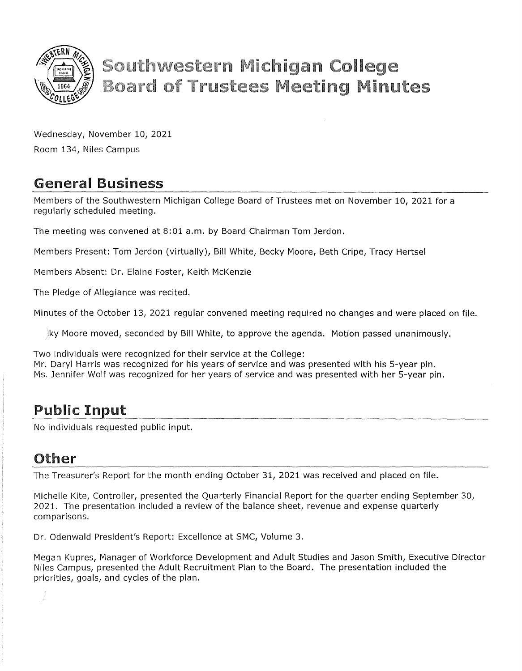

# **Southwestern Michigan College Board of Trustees Meeting Minutes**

Wednesday, November 10, 2021 Room 134, Niles Campus

# General Business

Members of the Southwestern Michigan College Board of Trustees met on November 10, 2021 for a regularly scheduled meeting.

The meeting was convened at 8:01 a.m. by Board Chairman Tom Jerdon.

Members Present: Tom Jerdon (virtually), Bill White, Becky Moore, Beth Cripe, Tracy Hertsel

Members Absent: Dr. Elaine Foster, Keith McKenzie

The Pledge of Allegiance was recited.

Minutes of the October 13, 2021 regular convened meeting required no changes and were placed on file.

ky Moore moved, seconded by Bill White, to approve the agenda. Motion passed unanimously.

Two individuals were recognized for their service at the College: Mr. Daryl Harris was recognized for his years of service and was presented with his 5-year pin. Ms. Jennifer Wolf was recognized for her years of service and was presented with her 5-year pin.

#### Public Input

No individuals requested public input.

#### Other

The Treasurer's Report for the month ending October 31, 2021 was received and placed on file.

Michelle Kite, Controller, presented the Quarterly Financial Report for the quarter ending September 30, 2021. The presentation included a review of the balance sheet, revenue and expense quarterly comparisons.

Dr. Odenwald President's Report: Excellence at SMC, Volume 3.

Megan Kupres, Manager of Workforce Development and Adult Studies and Jason Smith, Executive Director Niles Campus, presented the Adult Recruitment Plan to the Board. The presentation included the priorities, goals, and cycles of the plan.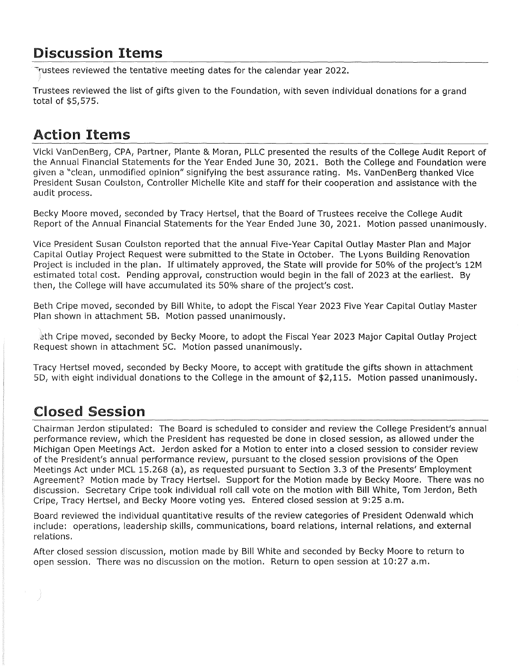#### Discussion Items

Trustees reviewed the tentative meeting dates for the calendar year 2022.

Trustees reviewed the list of gifts given to the Foundation, with seven individual donations for a grand total of \$5,575.

# Action Items

Vicki VanDenBerg, CPA, Partner, Plante & Moran, PLLC presented the results of the College Audit Report of the Annual Financial Statements for the Year Ended June 30, 2021. Both the College and Foundation were given a "clean, unmodified opinion" signifying the best assurance rating. Ms. VanDenBerg thanked Vice President Susan Coulston, Controller Michelle Kite and staff for their cooperation and assistance with the audit process.

Becky Moore moved, seconded by Tracy Hertsel, that the Board of Trustees receive the College Audit Report of the Annual Financial Statements for the Year Ended June 30, 2021. Motion passed unanimously.

Vice President Susan Coulston reported that the annual Five-Year Capital Outlay Master Plan and Major Capital Outlay Project Request were submitted to the State in October. The Lyons Building Renovation Project is included in the plan. If ultimately approved, the State will provide for 50% of the project's 12M estimated total cost. Pending approval, construction would begin in the fall of 2023 at the earliest. By then, the College will have accumulated its 50% share of the project's cost.

Beth Cripe moved, seconded by Bill White, to adopt the Fiscal Year 2023 Five Year Capital Outlay Master Plan shown in attachment SB. Motion passed unanimously.

2th Cripe moved, seconded by Becky Moore, to adopt the Fiscal Year 2023 Major Capital Outlay Project Request shown in attachment SC. Motion passed unanimously.

Tracy Hertsel moved, seconded by Becky Moore, to accept with gratitude the gifts shown in attachment SD, with eight individual donations to the College in the amount of \$2,115. Motion passed unanimously.

# Closed Session

Chairman Jerdon stipulated: The Board is scheduled to consider and review the College President's annual performance review, which the President has requested be done in closed session, as allowed under the Michigan Open Meetings Act. Jerdon asked for a Motion to enter into a closed session to consider review of the President's annual performance review, pursuant to the closed session provisions of the Open Meetings Act under MCL 15.268 (a), as requested pursuant to Section 3.3 of the Presents' Employment Agreement? Motion made by Tracy Hertsel. Support for the Motion made by Becky Moore. There was no discussion. Secretary Cripe took individual roll call vote on the motion with Bill White, Tom Jerdon, Beth Cripe, Tracy Hertsel, and Becky Moore voting yes. Entered closed session at 9:25 a.m.

Board reviewed the individual quantitative results of the review categories of President Odenwald which include: operations, leadership skills, communications, board relations, internal relations, and external relations.

After closed session discussion, motion made by Bill White and seconded by Becky Moore to return to open session. There was no discussion on the motion. Return to open session at 10:27 a.m.